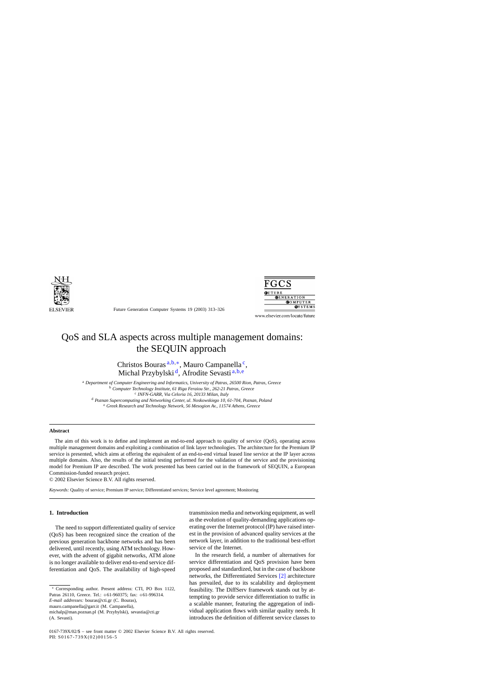

Future Generation Computer Systems 19 (2003) 313–326



www.elsevier.com/locate/future

# QoS and SLA aspects across multiple management domains: the SEQUIN approach

Christos Bouras<sup>a,b,∗</sup>, Mauro Campanella<sup>c</sup>, Michal Przybylski<sup>d</sup>, Afrodite Sevasti<sup>a,b,e</sup>

<sup>a</sup> *Department of Computer Engineering and Informatics, University of Patras, 26500 Rion, Patras, Greece* <sup>b</sup> *Computer Technology Institute, 61 Riga Feraiou Str., 262-21 Patras, Greece* <sup>c</sup> *INFN-GARR, Via Celoria 16, 20133 Milan, Italy* <sup>d</sup> *Poznan Supercomputing and Networking Center, ul. Noskowskiego 10, 61-704, Poznan, Poland* <sup>e</sup> *Greek Research and Technology Network, 56 Mesogion Av., 11574 Athens, Greece*

#### **Abstract**

The aim of this work is to define and implement an end-to-end approach to quality of service (QoS), operating across multiple management domains and exploiting a combination of link layer technologies. The architecture for the Premium IP service is presented, which aims at offering the equivalent of an end-to-end virtual leased line service at the IP layer across multiple domains. Also, the results of the initial testing performed for the validation of the service and the provisioning model for Premium IP are described. The work presented has been carried out in the framework of SEQUIN, a European Commission-funded research project.

© 2002 Elsevier Science B.V. All rights reserved.

*Keywords:* Quality of service; Premium IP service; Differentiated services; Service level agreement; Monitoring

## **1. Introduction**

The need to support differentiated quality of service (QoS) has been recognized since the creation of the previous generation backbone networks and has been delivered, until recently, using ATM technology. However, with the advent of gigabit networks, ATM alone is no longer available to deliver end-to-end service differentiation and QoS. The availability of high-speed

*E-mail addresses:* bouras@cti.gr (C. Bouras),

mauro.campanella@garr.it (M. Campanella),

transmission media and networking equipment, as well as the evolution of quality-demanding applications operating over the Internet protocol (IP) have raised interest in the provision of advanced quality services at the network layer, in addition to the traditional best-effort service of the Internet.

In the research field, a number of alternatives for service differentiation and QoS provision have been proposed and standardized, but in the case of backbone networks, the Differentiated Services [\[2\]](#page-12-0) architecture has prevailed, due to its scalability and deployment feasibility. The DiffServ framework stands out by attempting to provide service differentiation to traffic in a scalable manner, featuring the aggregation of individual application flows with similar quality needs. It introduces the definition of different service classes to

<sup>∗</sup> Corresponding author. Present address: CTI, PO Box 1122, Patras 26110, Greece. Tel.: +61-960375; fax: +61-996314.

michalp@man.poznan.pl (M. Przybylski), sevastia@cti.gr

<sup>(</sup>A. Sevasti).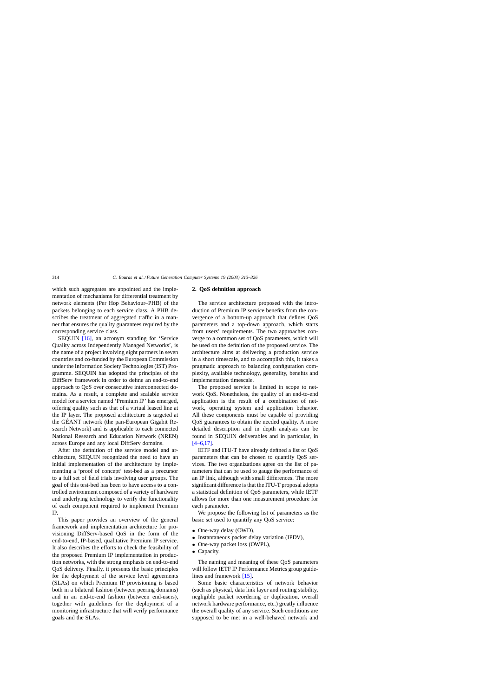which such aggregates are appointed and the implementation of mechanisms for differential treatment by network elements (Per Hop Behaviour–PHB) of the packets belonging to each service class. A PHB describes the treatment of aggregated traffic in a manner that ensures the quality guarantees required by the corresponding service class.

SEQUIN [\[16\],](#page-13-0) an acronym standing for 'Service Quality across Independently Managed Networks', is the name of a project involving eight partners in seven countries and co-funded by the European Commission under the Information Society Technologies (IST) Programme. SEQUIN has adopted the principles of the DiffServ framework in order to define an end-to-end approach to QoS over consecutive interconnected domains. As a result, a complete and scalable service model for a service named 'Premium IP' has emerged, offering quality such as that of a virtual leased line at the IP layer. The proposed architecture is targeted at the GÉANT network (the pan-European Gigabit Research Network) and is applicable to each connected National Research and Education Network (NREN) across Europe and any local DiffServ domains.

After the definition of the service model and architecture, SEQUIN recognized the need to have an initial implementation of the architecture by implementing a 'proof of concept' test-bed as a precursor to a full set of field trials involving user groups. The goal of this test-bed has been to have access to a controlled environment composed of a variety of hardware and underlying technology to verify the functionality of each component required to implement Premium IP.

This paper provides an overview of the general framework and implementation architecture for provisioning DiffServ-based QoS in the form of the end-to-end, IP-based, qualitative Premium IP service. It also describes the efforts to check the feasibility of the proposed Premium IP implementation in production networks, with the strong emphasis on end-to-end QoS delivery. Finally, it presents the basic principles for the deployment of the service level agreements (SLAs) on which Premium IP provisioning is based both in a bilateral fashion (between peering domains) and in an end-to-end fashion (between end-users), together with guidelines for the deployment of a monitoring infrastructure that will verify performance goals and the SLAs.

#### **2. QoS definition approach**

The service architecture proposed with the introduction of Premium IP service benefits from the convergence of a bottom-up approach that defines QoS parameters and a top-down approach, which starts from users' requirements. The two approaches converge to a common set of QoS parameters, which will be used on the definition of the proposed service. The architecture aims at delivering a production service in a short timescale, and to accomplish this, it takes a pragmatic approach to balancing configuration complexity, available technology, generality, benefits and implementation timescale.

The proposed service is limited in scope to network QoS. Nonetheless, the quality of an end-to-end application is the result of a combination of network, operating system and application behavior. All these components must be capable of providing QoS guarantees to obtain the needed quality. A more detailed description and in depth analysis can be found in SEQUIN deliverables and in particular, in  $[4–6.17]$ .

IETF and ITU-T have already defined a list of QoS parameters that can be chosen to quantify QoS services. The two organizations agree on the list of parameters that can be used to gauge the performance of an IP link, although with small differences. The more significant difference is that the ITU-T proposal adopts a statistical definition of QoS parameters, while IETF allows for more than one measurement procedure for each parameter.

We propose the following list of parameters as the basic set used to quantify any QoS service:

- One-way delay (OWD),
- Instantaneous packet delay variation (IPDV),
- One-way packet loss (OWPL),
- Capacity.

The naming and meaning of these QoS parameters will follow IETF IP Performance Metrics group guidelines and framework [\[15\].](#page-13-0)

Some basic characteristics of network behavior (such as physical, data link layer and routing stability, negligible packet reordering or duplication, overall network hardware performance, etc.) greatly influence the overall quality of any service. Such conditions are supposed to be met in a well-behaved network and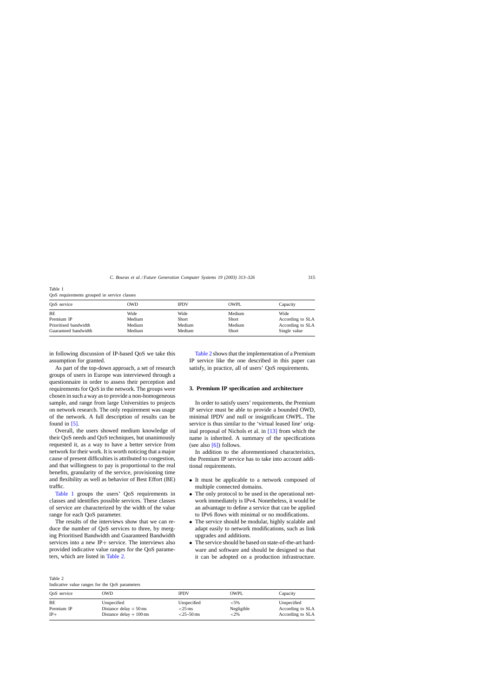| Table 1 |                                             |  |  |
|---------|---------------------------------------------|--|--|
|         | QoS requirements grouped in service classes |  |  |

| OoS service           | OWD    | <b>IPDV</b> | OWPL   | Capacity         |
|-----------------------|--------|-------------|--------|------------------|
| BE                    | Wide   | Wide        | Medium | Wide             |
| Premium IP            | Medium | Short       | Short  | According to SLA |
| Prioritised bandwidth | Medium | Medium      | Medium | According to SLA |
| Guaranteed bandwidth  | Medium | Medium      | Short  | Single value     |

in following discussion of IP-based QoS we take this assumption for granted.

As part of the top-down approach, a set of research groups of users in Europe was interviewed through a questionnaire in order to assess their perception and requirements for QoS in the network. The groups were chosen in such a way as to provide a non-homogeneous sample, and range from large Universities to projects on network research. The only requirement was usage of the network. A full description of results can be found in [\[5\].](#page-12-0)

Overall, the users showed medium knowledge of their QoS needs and QoS techniques, but unanimously requested it, as a way to have a better service from network for their work. It is worth noticing that a major cause of present difficulties is attributed to congestion, and that willingness to pay is proportional to the real benefits, granularity of the service, provisioning time and flexibility as well as behavior of Best Effort (BE) traffic.

Table 1 groups the users' QoS requirements in classes and identifies possible services. These classes of service are characterized by the width of the value range for each QoS parameter.

The results of the interviews show that we can reduce the number of QoS services to three, by merging Prioritised Bandwidth and Guaranteed Bandwidth services into a new IP+ service. The interviews also provided indicative value ranges for the QoS parameters, which are listed in Table 2.

Table 2 shows that the implementation of a Premium IP service like the one described in this paper can satisfy, in practice, all of users' QoS requirements.

### **3. Premium IP specification and architecture**

In order to satisfy users' requirements, the Premium IP service must be able to provide a bounded OWD, minimal IPDV and null or insignificant OWPL. The service is thus similar to the 'virtual leased line' original proposal of Nichols et al. in [\[13\]](#page-13-0) from which the name is inherited. A summary of the specifications (see also [\[6\]\)](#page-12-0) follows.

In addition to the aforementioned characteristics, the Premium IP service has to take into account additional requirements.

- It must be applicable to a network composed of multiple connected domains.
- The only protocol to be used in the operational network immediately is IPv4. Nonetheless, it would be an advantage to define a service that can be applied to IPv6 flows with minimal or no modifications.
- The service should be modular, highly scalable and adapt easily to network modifications, such as link upgrades and additions.
- The service should be based on state-of-the-art hardware and software and should be designed so that it can be adopted on a production infrastructure.

Table 2

|  |  |  | Indicative value ranges for the QoS parameters |
|--|--|--|------------------------------------------------|
|  |  |  |                                                |

| OoS service | OWD                      | <b>IPDV</b>  | OWPL       | Capacity         |
|-------------|--------------------------|--------------|------------|------------------|
| BE          | Unspecified              | Unspecified  | ${<}5\%$   | Unspecified      |
| Premium IP  | Distance delay $+50$ ms  | $<$ 25 ms    | Negligible | According to SLA |
| $IP+$       | Distance delay $+100$ ms | $<$ 25–50 ms | ${<}2\%$   | According to SLA |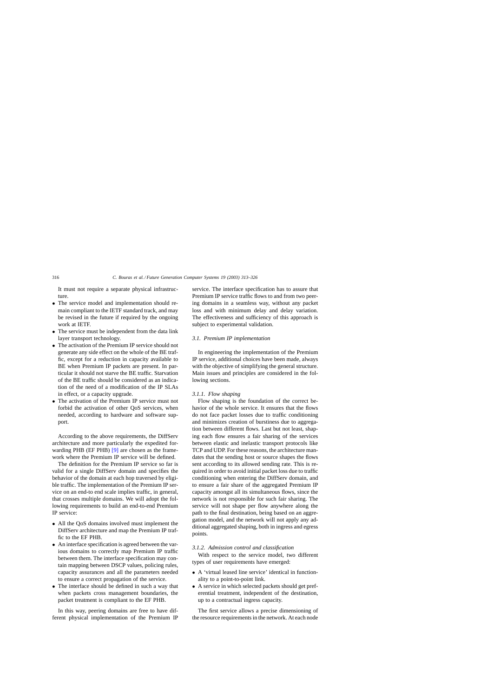It must not require a separate physical infrastructure.

- The service model and implementation should remain compliant to the IETF standard track, and may be revised in the future if required by the ongoing work at IETF.
- The service must be independent from the data link layer transport technology.
- The activation of the Premium IP service should not generate any side effect on the whole of the BE traffic, except for a reduction in capacity available to BE when Premium IP packets are present. In particular it should not starve the BE traffic. Starvation of the BE traffic should be considered as an indication of the need of a modification of the IP SLAs in effect, or a capacity upgrade.
- The activation of the Premium IP service must not forbid the activation of other QoS services, when needed, according to hardware and software support.

According to the above requirements, the DiffServ architecture and more particularly the expedited for-warding PHB (EF PHB) [\[9\]](#page-12-0) are chosen as the framework where the Premium IP service will be defined.

The definition for the Premium IP service so far is valid for a single DiffServ domain and specifies the behavior of the domain at each hop traversed by eligible traffic. The implementation of the Premium IP service on an end-to end scale implies traffic, in general, that crosses multiple domains. We will adopt the following requirements to build an end-to-end Premium IP service:

- All the OoS domains involved must implement the DiffServ architecture and map the Premium IP traffic to the EF PHB.
- An interface specification is agreed between the various domains to correctly map Premium IP traffic between them. The interface specification may contain mapping between DSCP values, policing rules, capacity assurances and all the parameters needed to ensure a correct propagation of the service.
- The interface should be defined in such a way that when packets cross management boundaries, the packet treatment is compliant to the EF PHB.

In this way, peering domains are free to have different physical implementation of the Premium IP service. The interface specification has to assure that Premium IP service traffic flows to and from two peering domains in a seamless way, without any packet loss and with minimum delay and delay variation. The effectiveness and sufficiency of this approach is subject to experimental validation.

## *3.1. Premium IP implementation*

In engineering the implementation of the Premium IP service, additional choices have been made, always with the objective of simplifying the general structure. Main issues and principles are considered in the following sections.

## *3.1.1. Flow shaping*

Flow shaping is the foundation of the correct behavior of the whole service. It ensures that the flows do not face packet losses due to traffic conditioning and minimizes creation of burstiness due to aggregation between different flows. Last but not least, shaping each flow ensures a fair sharing of the services between elastic and inelastic transport protocols like TCP and UDP. For these reasons, the architecture mandates that the sending host or source shapes the flows sent according to its allowed sending rate. This is required in order to avoid initial packet loss due to traffic conditioning when entering the DiffServ domain, and to ensure a fair share of the aggregated Premium IP capacity amongst all its simultaneous flows, since the network is not responsible for such fair sharing. The service will not shape per flow anywhere along the path to the final destination, being based on an aggregation model, and the network will not apply any additional aggregated shaping, both in ingress and egress points.

## *3.1.2. Admission control and classification*

With respect to the service model, two different types of user requirements have emerged:

- A 'virtual leased line service' identical in functionality to a point-to-point link.
- A service in which selected packets should get preferential treatment, independent of the destination, up to a contractual ingress capacity.

The first service allows a precise dimensioning of the resource requirements in the network. At each node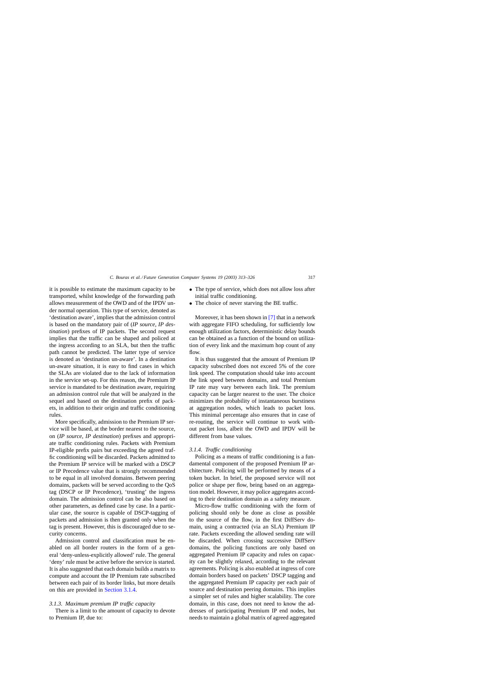it is possible to estimate the maximum capacity to be transported, whilst knowledge of the forwarding path allows measurement of the OWD and of the IPDV under normal operation. This type of service, denoted as 'destination aware', implies that the admission control is based on the mandatory pair of (*IP source*, *IP destination*) prefixes of IP packets. The second request implies that the traffic can be shaped and policed at the ingress according to an SLA, but then the traffic path cannot be predicted. The latter type of service is denoted as 'destination un-aware'. In a destination un-aware situation, it is easy to find cases in which the SLAs are violated due to the lack of information in the service set-up. For this reason, the Premium IP service is mandated to be destination aware, requiring an admission control rule that will be analyzed in the sequel and based on the destination prefix of packets, in addition to their origin and traffic conditioning rules.

More specifically, admission to the Premium IP service will be based, at the border nearest to the source, on (*IP source*, *IP destination*) prefixes and appropriate traffic conditioning rules. Packets with Premium IP-eligible prefix pairs but exceeding the agreed traffic conditioning will be discarded. Packets admitted to the Premium IP service will be marked with a DSCP or IP Precedence value that is strongly recommended to be equal in all involved domains. Between peering domains, packets will be served according to the QoS tag (DSCP or IP Precedence), 'trusting' the ingress domain. The admission control can be also based on other parameters, as defined case by case. In a particular case, the source is capable of DSCP-tagging of packets and admission is then granted only when the tag is present. However, this is discouraged due to security concerns.

Admission control and classification must be enabled on all border routers in the form of a general 'deny-unless-explicitly allowed' rule. The general 'deny' rule must be active before the service is started. It is also suggested that each domain builds a matrix to compute and account the IP Premium rate subscribed between each pair of its border links, but more details on this are provided in Section 3.1.4.

## *3.1.3. Maximum premium IP traffic capacity*

There is a limit to the amount of capacity to devote to Premium IP, due to:

- The type of service, which does not allow loss after initial traffic conditioning.
- The choice of never starving the BE traffic.

Moreover, it has been shown in [\[7\]](#page-12-0) that in a network with aggregate FIFO scheduling, for sufficiently low enough utilization factors, deterministic delay bounds can be obtained as a function of the bound on utilization of every link and the maximum hop count of any flow.

It is thus suggested that the amount of Premium IP capacity subscribed does not exceed 5% of the core link speed. The computation should take into account the link speed between domains, and total Premium IP rate may vary between each link. The premium capacity can be larger nearest to the user. The choice minimizes the probability of instantaneous burstiness at aggregation nodes, which leads to packet loss. This minimal percentage also ensures that in case of re-routing, the service will continue to work without packet loss, albeit the OWD and IPDV will be different from base values.

## *3.1.4. Traffic conditioning*

Policing as a means of traffic conditioning is a fundamental component of the proposed Premium IP architecture. Policing will be performed by means of a token bucket. In brief, the proposed service will not police or shape per flow, being based on an aggregation model. However, it may police aggregates according to their destination domain as a safety measure.

Micro-flow traffic conditioning with the form of policing should only be done as close as possible to the source of the flow, in the first DiffServ domain, using a contracted (via an SLA) Premium IP rate. Packets exceeding the allowed sending rate will be discarded. When crossing successive DiffServ domains, the policing functions are only based on aggregated Premium IP capacity and rules on capacity can be slightly relaxed, according to the relevant agreements. Policing is also enabled at ingress of core domain borders based on packets' DSCP tagging and the aggregated Premium IP capacity per each pair of source and destination peering domains. This implies a simpler set of rules and higher scalability. The core domain, in this case, does not need to know the addresses of participating Premium IP end nodes, but needs to maintain a global matrix of agreed aggregated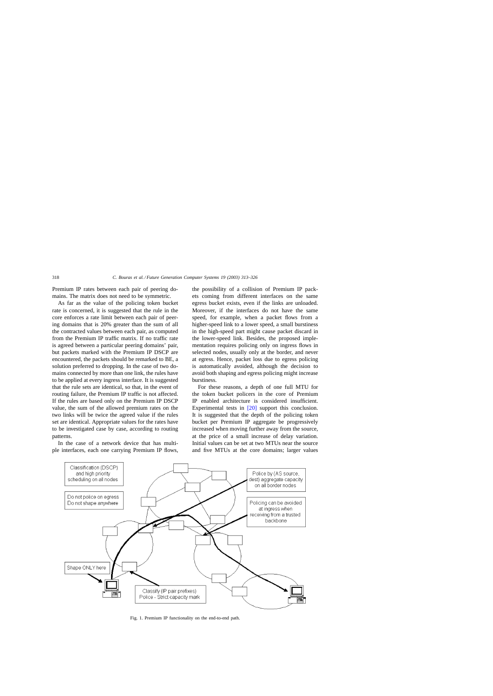<span id="page-5-0"></span>Premium IP rates between each pair of peering domains. The matrix does not need to be symmetric.

As far as the value of the policing token bucket rate is concerned, it is suggested that the rule in the core enforces a rate limit between each pair of peering domains that is 20% greater than the sum of all the contracted values between each pair, as computed from the Premium IP traffic matrix. If no traffic rate is agreed between a particular peering domains' pair, but packets marked with the Premium IP DSCP are encountered, the packets should be remarked to BE, a solution preferred to dropping. In the case of two domains connected by more than one link, the rules have to be applied at every ingress interface. It is suggested that the rule sets are identical, so that, in the event of routing failure, the Premium IP traffic is not affected. If the rules are based only on the Premium IP DSCP value, the sum of the allowed premium rates on the two links will be twice the agreed value if the rules set are identical. Appropriate values for the rates have to be investigated case by case, according to routing patterns.

In the case of a network device that has multiple interfaces, each one carrying Premium IP flows, the possibility of a collision of Premium IP packets coming from different interfaces on the same egress bucket exists, even if the links are unloaded. Moreover, if the interfaces do not have the same speed, for example, when a packet flows from a higher-speed link to a lower speed, a small burstiness in the high-speed part might cause packet discard in the lower-speed link. Besides, the proposed implementation requires policing only on ingress flows in selected nodes, usually only at the border, and never at egress. Hence, packet loss due to egress policing is automatically avoided, although the decision to avoid both shaping and egress policing might increase burstiness.

For these reasons, a depth of one full MTU for the token bucket policers in the core of Premium IP enabled architecture is considered insufficient. Experimental tests in [\[20\]](#page-13-0) support this conclusion. It is suggested that the depth of the policing token bucket per Premium IP aggregate be progressively increased when moving further away from the source, at the price of a small increase of delay variation. Initial values can be set at two MTUs near the source and five MTUs at the core domains; larger values



Fig. 1. Premium IP functionality on the end-to-end path.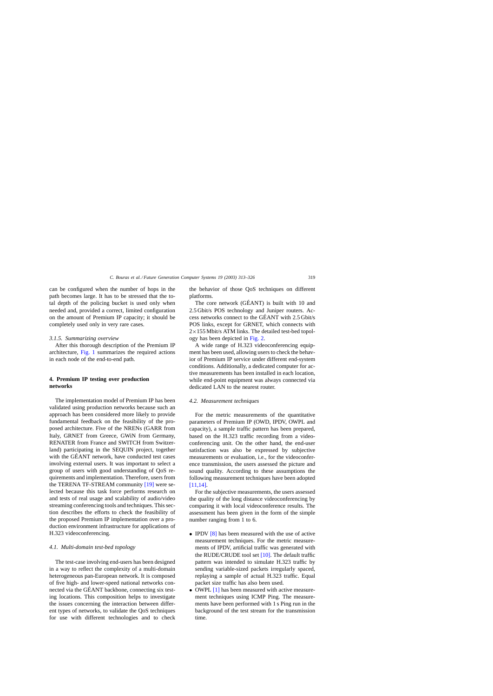<span id="page-6-0"></span>can be configured when the number of hops in the path becomes large. It has to be stressed that the total depth of the policing bucket is used only when needed and, provided a correct, limited configuration on the amount of Premium IP capacity; it should be completely used only in very rare cases.

#### *3.1.5. Summarizing overview*

After this thorough description of the Premium IP architecture, [Fig. 1](#page-5-0) summarizes the required actions in each node of the end-to-end path.

## **4. Premium IP testing over production networks**

The implementation model of Premium IP has been validated using production networks because such an approach has been considered more likely to provide fundamental feedback on the feasibility of the proposed architecture. Five of the NRENs (GARR from Italy, GRNET from Greece, GWiN from Germany, RENATER from France and SWITCH from Switzerland) participating in the SEQUIN project, together with the GÉANT network, have conducted test cases involving external users. It was important to select a group of users with good understanding of QoS requirements and implementation. Therefore, users from the TERENA TF-STREAM community [\[19\]](#page-13-0) were selected because this task force performs research on and tests of real usage and scalability of audio/video streaming conferencing tools and techniques. This section describes the efforts to check the feasibility of the proposed Premium IP implementation over a production environment infrastructure for applications of H.323 videoconferencing.

## *4.1. Multi-domain test-bed topology*

The test-case involving end-users has been designed in a way to reflect the complexity of a multi-domain heterogeneous pan-European network. It is composed of five high- and lower-speed national networks connected via the GÉANT backbone, connecting six testing locations. This composition helps to investigate the issues concerning the interaction between different types of networks, to validate the QoS techniques for use with different technologies and to check

the behavior of those QoS techniques on different platforms.

The core network (GÉANT) is built with 10 and 2.5 Gbit/s POS technology and Juniper routers. Access networks connect to the GÉANT with 2.5 Gbit/s POS links, except for GRNET, which connects with  $2\times155$  Mbit/s ATM links. The detailed test-bed topology has been depicted in [Fig. 2.](#page-7-0)

A wide range of H.323 videoconferencing equipment has been used, allowing users to check the behavior of Premium IP service under different end-system conditions. Additionally, a dedicated computer for active measurements has been installed in each location, while end-point equipment was always connected via dedicated LAN to the nearest router.

## *4.2. Measurement techniques*

For the metric measurements of the quantitative parameters of Premium IP (OWD, IPDV, OWPL and capacity), a sample traffic pattern has been prepared, based on the H.323 traffic recording from a videoconferencing unit. On the other hand, the end-user satisfaction was also be expressed by subjective measurements or evaluation, i.e., for the videoconference transmission, the users assessed the picture and sound quality. According to these assumptions the following measurement techniques have been adopted [\[11,14\].](#page-12-0)

For the subjective measurements, the users assessed the quality of the long distance videoconferencing by comparing it with local videoconference results. The assessment has been given in the form of the simple number ranging from 1 to 6.

- IPDV [\[8\]](#page-12-0) has been measured with the use of active measurement techniques. For the metric measurements of IPDV, artificial traffic was generated with the RUDE/CRUDE tool set [\[10\]. T](#page-12-0)he default traffic pattern was intended to simulate H.323 traffic by sending variable-sized packets irregularly spaced, replaying a sample of actual H.323 traffic. Equal packet size traffic has also been used.
- OWPL [\[1\]](#page-12-0) has been measured with active measurement techniques using ICMP Ping. The measurements have been performed with 1 s Ping run in the background of the test stream for the transmission time.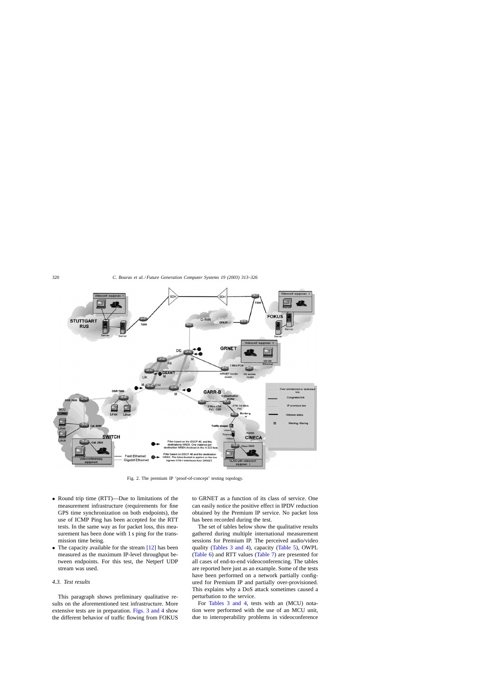<span id="page-7-0"></span>

Fig. 2. The premium IP 'proof-of-concept' testing topology.

- Round trip time (RTT)—Due to limitations of the measurement infrastructure (requirements for fine GPS time synchronization on both endpoints), the use of ICMP Ping has been accepted for the RTT tests. In the same way as for packet loss, this measurement has been done with 1 s ping for the transmission time being.
- The capacity available for the stream  $[12]$  has been measured as the maximum IP-level throughput between endpoints. For this test, the Netperf UDP stream was used.

## *4.3. Test results*

This paragraph shows preliminary qualitative results on the aforementioned test infrastructure. More extensive tests are in preparation. [Figs. 3 and 4](#page-8-0) show the different behavior of traffic flowing from FOKUS to GRNET as a function of its class of service. One can easily notice the positive effect in IPDV reduction obtained by the Premium IP service. No packet loss has been recorded during the test.

The set of tables below show the qualitative results gathered during multiple international measurement sessions for Premium IP. The perceived audio/video quality [\(Tables 3 and 4\)](#page-8-0), capacity [\(Table 5\),](#page-9-0) OWPL ([Table 6\)](#page-9-0) and RTT values ([Table 7\)](#page-9-0) are presented for all cases of end-to-end videoconferencing. The tables are reported here just as an example. Some of the tests have been performed on a network partially configured for Premium IP and partially over-provisioned. This explains why a DoS attack sometimes caused a perturbation to the service.

For [Tables 3 and 4](#page-8-0), tests with an (MCU) notation were performed with the use of an MCU unit, due to interoperability problems in videoconference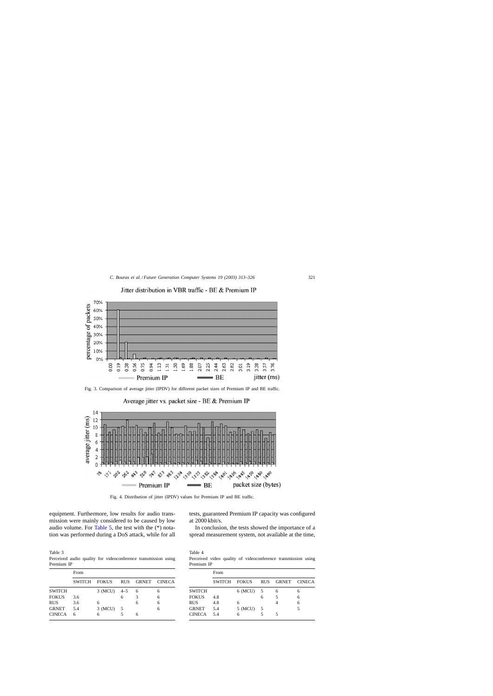# Jitter distribution in VBR traffic - BE & Premium IP

<span id="page-8-0"></span>

Fig. 3. Comparison of average jitter (IPDV) for different packet sizes of Premium IP and BE traffic.

Average jitter vs. packet size - BE & Premium IP



Fig. 4. Distribution of jitter (IPDV) values for Premium IP and BE traffic.

equipment. Furthermore, low results for audio transmission were mainly considered to be caused by low audio volume. For [Table 5,](#page-9-0) the test with the (\*) notation was performed during a DoS attack, while for all tests, guaranteed Premium IP capacity was configured at 2000 kbit/s.

In conclusion, the tests showed the importance of a spread measurement system, not available at the time,

| Table 3    |  |                                                                |  |
|------------|--|----------------------------------------------------------------|--|
|            |  | Perceived audio quality for videoconference transmission using |  |
| Premium IP |  |                                                                |  |

|               | From |              |            |   |              |  |  |  |  |  |  |  |
|---------------|------|--------------|------------|---|--------------|--|--|--|--|--|--|--|
|               |      | SWITCH FOKUS | <b>RUS</b> |   | GRNET CINECA |  |  |  |  |  |  |  |
| <b>SWITCH</b> |      | $3$ (MCU)    | $4 - 5$    | 6 |              |  |  |  |  |  |  |  |
| <b>FOKUS</b>  | 3.6  |              | 6          | 3 | 6            |  |  |  |  |  |  |  |
| <b>RUS</b>    | 3.6  | 6            |            | 6 |              |  |  |  |  |  |  |  |
| <b>GRNET</b>  | 5.4  | $3$ (MCU)    | 5          |   |              |  |  |  |  |  |  |  |
| <b>CINECA</b> | 6    |              |            | 6 |              |  |  |  |  |  |  |  |

| 116 |
|-----|
|-----|

Perceived video quality of videoconference transmission using Premium IP

|               | From          |           |     |           |               |
|---------------|---------------|-----------|-----|-----------|---------------|
|               | <b>SWITCH</b> | FOKUS     |     | RUS GRNET | <b>CINECA</b> |
| <b>SWITCH</b> |               | $6$ (MCU) | - 5 | 6         |               |
| FOKUS         | 4.8           |           | 6   | 5         |               |
| RUS           | 4.8           | 6         |     |           | 6             |
| <b>GRNET</b>  | 5.4           | $5$ (MCU) | - 5 |           |               |
| CINECA        | 54            |           |     |           |               |
|               |               |           |     |           |               |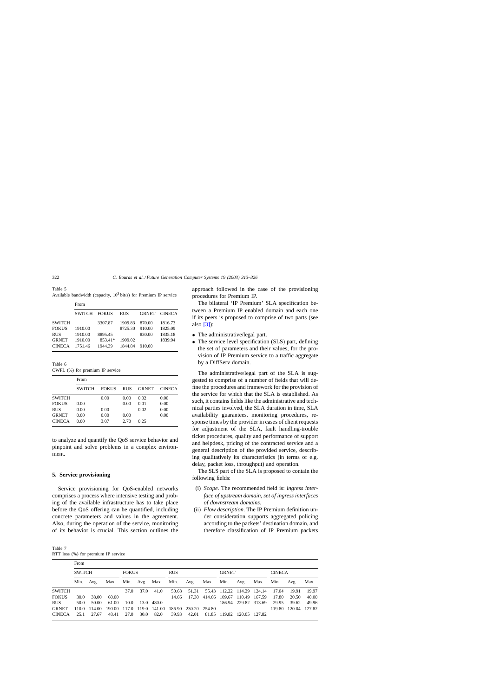<span id="page-9-0"></span>Table 5 Available bandwidth (capacity,  $10^3$  bit/s) for Premium IP service

|               | From          |              |            |              |               |
|---------------|---------------|--------------|------------|--------------|---------------|
|               | <b>SWITCH</b> | <b>FOKUS</b> | <b>RUS</b> | <b>GRNET</b> | <b>CINECA</b> |
| <b>SWITCH</b> |               | 3307.87      | 1909.83    | 870.00       | 1816.73       |
| <b>FOKUS</b>  | 1910.00       |              | 8725.30    | 910.00       | 1825.09       |
| <b>RUS</b>    | 1910.00       | 8895.45      |            | 830.00       | 1835.18       |
| <b>GRNET</b>  | 1910.00       | 853.41*      | 1909.02    |              | 1839.94       |
| <b>CINECA</b> | 1751.46       | 1944.39      | 1844.84    | 910.00       |               |

Table 6

OWPL (%) for premium IP service

|               | From          |              |            |              |               |
|---------------|---------------|--------------|------------|--------------|---------------|
|               | <b>SWITCH</b> | <b>FOKUS</b> | <b>RUS</b> | <b>GRNET</b> | <b>CINECA</b> |
| <b>SWITCH</b> |               | 0.00         | 0.00       | 0.02         | 0.00          |
| <b>FOKUS</b>  | 0.00          |              | 0.00       | 0.01         | 0.00          |
| <b>RUS</b>    | 0.00          | 0.00         |            | 0.02         | 0.00          |
| <b>GRNET</b>  | 0.00          | 0.00         | 0.00       |              | 0.00          |
| <b>CINECA</b> | 0.00          | 3.07         | 2.70       | 0.25         |               |

to analyze and quantify the QoS service behavior and pinpoint and solve problems in a complex environment.

## **5. Service provisioning**

Service provisioning for QoS-enabled networks comprises a process where intensive testing and probing of the available infrastructure has to take place before the QoS offering can be quantified, including concrete parameters and values in the agreement. Also, during the operation of the service, monitoring of its behavior is crucial. This section outlines the

| Table 7 |  |                                     |  |
|---------|--|-------------------------------------|--|
|         |  | RTT loss (%) for premium IP service |  |

approach followed in the case of the provisioning procedures for Premium IP.

The bilateral 'IP Premium' SLA specification between a Premium IP enabled domain and each one if its peers is proposed to comprise of two parts (see also  $[3]$ :

- The administrative/legal part.
- The service level specification (SLS) part, defining the set of parameters and their values, for the provision of IP Premium service to a traffic aggregate by a DiffServ domain.

The administrative/legal part of the SLA is suggested to comprise of a number of fields that will define the procedures and framework for the provision of the service for which that the SLA is established. As such, it contains fields like the administrative and technical parties involved, the SLA duration in time, SLA availability guarantees, monitoring procedures, response times by the provider in cases of client requests for adjustment of the SLA, fault handling-trouble ticket procedures, quality and performance of support and helpdesk, pricing of the contracted service and a general description of the provided service, describing qualitatively its characteristics (in terms of e.g. delay, packet loss, throughput) and operation.

The SLS part of the SLA is proposed to contain the following fields:

- (i) *Scope*. The recommended field is: *ingress interface of upstream domain*, *set of ingress interfaces of downstream domains*.
- (ii) *Flow description*. The IP Premium definition under consideration supports aggregated policing according to the packets' destination domain, and therefore classification of IP Premium packets

|               | From          |                     |       |              |      |                    |            |                      |                                         |               |                      |               |               |        |
|---------------|---------------|---------------------|-------|--------------|------|--------------------|------------|----------------------|-----------------------------------------|---------------|----------------------|---------------|---------------|--------|
|               | <b>SWITCH</b> |                     |       | <b>FOKUS</b> |      |                    | <b>RUS</b> |                      | <b>GRNET</b>                            |               |                      | <b>CINECA</b> |               |        |
|               | Min. Avg.     |                     | Max.  |              |      |                    |            |                      | Min. Avg. Max. Min. Avg. Max. Min. Avg. |               | Max. Min.            |               | Avg.          | Max.   |
| <b>SWITCH</b> |               |                     |       | 37.0         | 37.0 | 41.0               | 50.68      | 51.31                | 55.43 112.22 114.29 124.14              |               |                      | 17.04         | 19.91         | 19.97  |
| <b>FOKUS</b>  | 30.0          | 38.00               | 60.00 |              |      |                    | 14.66      |                      | 17.30 414.66 109.67 110.49 167.59       |               |                      | 17.80         | 20.50         | 40.00  |
| <b>RUS</b>    | 50.0          | 50.00               | 61.00 | 10.0         |      | 13.0 480.0         |            |                      |                                         |               | 186.94 229.82 313.69 | 29.95         | 39.62         | 49.96  |
| <b>GRNET</b>  |               | 110.0 114.00 190.00 |       |              |      | 117.0 119.0 141.00 |            | 186.90 230.20 254.80 |                                         |               |                      |               | 119.80 120.04 | 127.82 |
| <b>CINECA</b> | 25.1          | 27.67               | 48.41 | 27.0         | 30.0 | 82.0               | 39.93      |                      | 42.01 81.85 119.82                      | 120.05 127.82 |                      |               |               |        |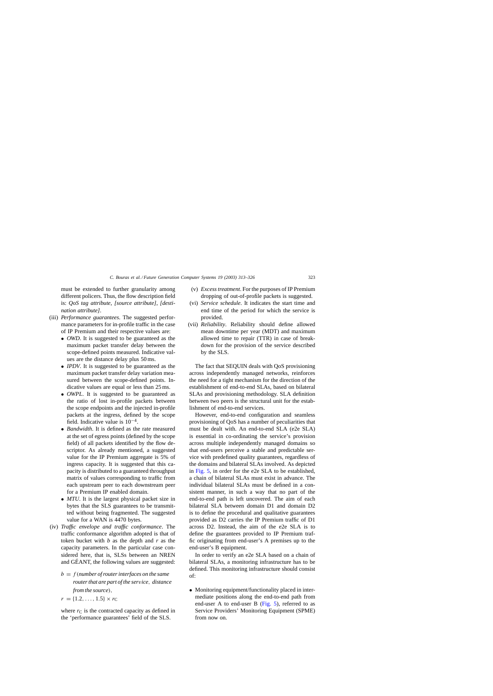must be extended to further granularity among different policers. Thus, the flow description field is: *QoS tag attribute*, *[source attribute]*, *[destination attribute]*.

- (iii) *Performance guarantees*. The suggested performance parameters for in-profile traffic in the case of IP Premium and their respective values are:
	- *OWD*. It is suggested to be guaranteed as the maximum packet transfer delay between the scope-defined points measured. Indicative values are the distance delay plus 50 ms.
	- *IPDV*. It is suggested to be guaranteed as the maximum packet transfer delay variation measured between the scope-defined points. Indicative values are equal or less than 25 ms.
	- *OWPL*. It is suggested to be guaranteed as the ratio of lost in-profile packets between the scope endpoints and the injected in-profile packets at the ingress, defined by the scope field. Indicative value is 10<sup>−</sup>4.
	- *Bandwidth*. It is defined as the rate measured at the set of egress points (defined by the scope field) of all packets identified by the flow descriptor. As already mentioned, a suggested value for the IP Premium aggregate is 5% of ingress capacity. It is suggested that this capacity is distributed to a guaranteed throughput matrix of values corresponding to traffic from each upstream peer to each downstream peer for a Premium IP enabled domain.
	- *MTU*. It is the largest physical packet size in bytes that the SLS guarantees to be transmitted without being fragmented. The suggested value for a WAN is 4470 bytes.
- (iv) *Traffic envelope and traffic conformance*. The traffic conformance algorithm adopted is that of token bucket with *b* as the depth and *r* as the capacity parameters. In the particular case considered here, that is, SLSs between an NREN and GÉANT, the following values are suggested:
	- b = f (*number of router interfaces on the same router that are part of the ser*v*ice*, *distance from the source*),
	- $r = \{1.2, \ldots, 1.5\} \times r_{\rm C}$

where  $r<sub>C</sub>$  is the contracted capacity as defined in the 'performance guarantees' field of the SLS.

- (v) *Excess treatment*. For the purposes of IP Premium dropping of out-of-profile packets is suggested.
- (vi) *Service schedule*. It indicates the start time and end time of the period for which the service is provided.
- (vii) *Reliability*. Reliability should define allowed mean downtime per year (MDT) and maximum allowed time to repair (TTR) in case of breakdown for the provision of the service described by the SLS.

The fact that SEQUIN deals with QoS provisioning across independently managed networks, reinforces the need for a tight mechanism for the direction of the establishment of end-to-end SLAs, based on bilateral SLAs and provisioning methodology. SLA definition between two peers is the structural unit for the establishment of end-to-end services.

However, end-to-end configuration and seamless provisioning of QoS has a number of peculiarities that must be dealt with. An end-to-end SLA (e2e SLA) is essential in co-ordinating the service's provision across multiple independently managed domains so that end-users perceive a stable and predictable service with predefined quality guarantees, regardless of the domains and bilateral SLAs involved. As depicted in [Fig. 5,](#page-11-0) in order for the e2e SLA to be established, a chain of bilateral SLAs must exist in advance. The individual bilateral SLAs must be defined in a consistent manner, in such a way that no part of the end-to-end path is left uncovered. The aim of each bilateral SLA between domain D1 and domain D2 is to define the procedural and qualitative guarantees provided as D2 carries the IP Premium traffic of D1 across D2. Instead, the aim of the e2e SLA is to define the guarantees provided to IP Premium traffic originating from end-user's A premises up to the end-user's B equipment.

In order to verify an e2e SLA based on a chain of bilateral SLAs, a monitoring infrastructure has to be defined. This monitoring infrastructure should consist of:

• Monitoring equipment/functionality placed in intermediate positions along the end-to-end path from end-user A to end-user B ([Fig. 5\),](#page-11-0) referred to as Service Providers' Monitoring Equipment (SPME) from now on.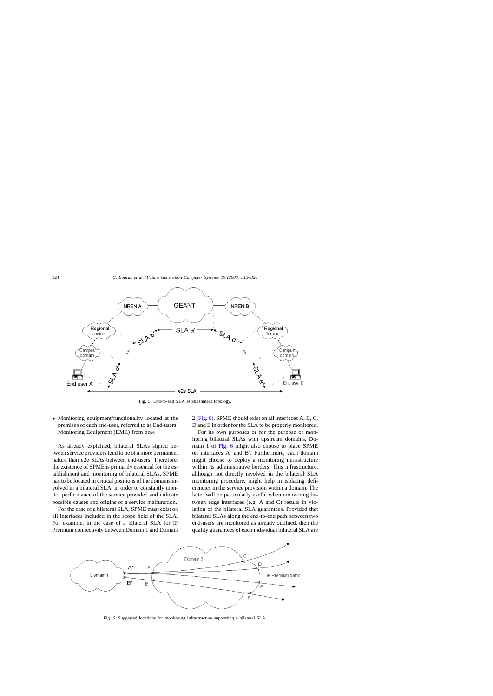<span id="page-11-0"></span>

Fig. 5. End-to-end SLA establishment topology.

• Monitoring equipment/functionality located at the premises of each end-user, referred to as End-users' Monitoring Equipment (EME) from now.

As already explained, bilateral SLAs signed between service providers tend to be of a more permanent nature than e2e SLAs between end-users. Therefore, the existence of SPME is primarily essential for the establishment and monitoring of bilateral SLAs. SPME has to be located in critical positions of the domains involved in a bilateral SLA, in order to constantly monitor performance of the service provided and indicate possible causes and origins of a service malfunction.

For the case of a bilateral SLA, SPME must exist on all interfaces included in the scope field of the SLA. For example, in the case of a bilateral SLA for IP Premium connectivity between Domain 1 and Domain 2 (Fig. 6), SPME should exist on all interfaces A, B, C, D and E in order for the SLA to be properly monitored.

For its own purposes or for the purpose of monitoring bilateral SLAs with upstream domains, Domain 1 of Fig. 6 might also choose to place SPME on interfaces A' and B'. Furthermore, each domain might choose to deploy a monitoring infrastructure within its administrative borders. This infrastructure, although not directly involved in the bilateral SLA monitoring procedure, might help in isolating deficiencies in the service provision within a domain. The latter will be particularly useful when monitoring between edge interfaces (e.g. A and C) results in violation of the bilateral SLA guarantees. Provided that bilateral SLAs along the end-to-end path between two end-users are monitored as already outlined, then the quality guarantees of each individual bilateral SLA are



Fig. 6. Suggested locations for monitoring infrastructure supporting a bilateral SLA.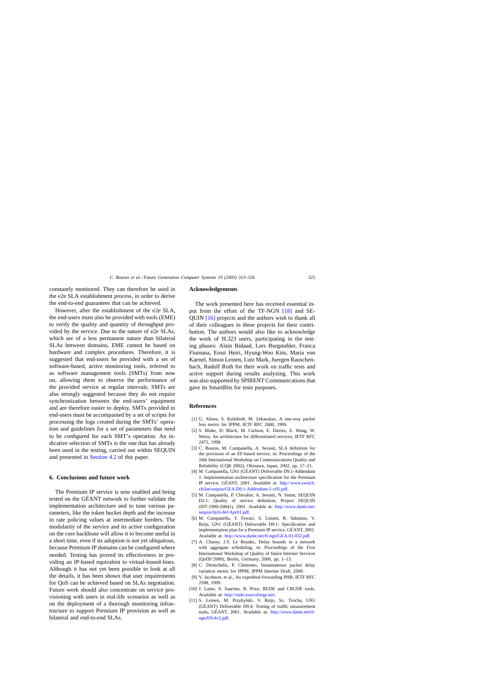<span id="page-12-0"></span>constantly monitored. They can therefore be used in the e2e SLA establishment process, in order to derive the end-to-end guarantees that can be achieved.

However, after the establishment of the e2e SLA, the end-users must also be provided with tools (EME) to verify the quality and quantity of throughput provided by the service. Due to the nature of e2e SLAs, which are of a less permanent nature than bilateral SLAs between domains, EME cannot be based on hardware and complex procedures. Therefore, it is suggested that end-users be provided with a set of software-based, active monitoring tools, referred to as software management tools (SMTs) from now on, allowing them to observe the performance of the provided service at regular intervals. SMTs are also strongly suggested because they do not require synchronization between the end-users' equipment and are therefore easier to deploy. SMTs provided to end-users must be accompanied by a set of scripts for processing the logs created during the SMTs' operation and guidelines for a set of parameters that need to be configured for each SMT's operation. An indicative selection of SMTs is the one that has already been used in the testing, carried out within SEQUIN and presented in [Section 4.2](#page-6-0) of this paper.

#### **6. Conclusions and future work**

The Premium IP service is now enabled and being tested on the GÉANT network to further validate the implementation architecture and to tune various parameters, like the token bucket depth and the increase in rate policing values at intermediate borders. The modularity of the service and its active configuration on the core backbone will allow it to become useful in a short time, even if its adoption is not yet ubiquitous, because Premium IP domains can be configured where needed. Testing has proved its effectiveness in providing an IP-based equivalent to virtual-leased-lines. Although it has not yet been possible to look at all the details, it has been shown that user requirements for QoS can be achieved based on SLAs negotiation. Future work should also concentrate on service provisioning with users in real-life scenarios as well as on the deployment of a thorough monitoring infrastructure to support Premium IP provision as well as bilateral and end-to-end SLAs.

#### **Acknowledgements**

The work presented here has received essential input from the effort of the TF-NGN [\[18\]](#page-13-0) and SE-QUIN [\[16\]](#page-13-0) projects and the authors wish to thank all of their colleagues in these projects for their contribution. The authors would also like to acknowledge the work of H.323 users, participating in the testing phases: Alain Bidaud, Lars Burgstahler, Franca Fiumana, Ernst Heiri, Hyung-Woo Kim, Maria von Kaenel, Simon Leinen, Lutz Mark, Juergen Rauschenbach, Rudolf Roth for their work on traffic tests and active support during results analyzing. This work was also supported by SPIRENT Communications that gave its SmartBits for tests purposes.

## **References**

- [1] G. Almes, S. Kalidindi, M. Zekauskas, A one-way packet loss metric for IPPM, IETF RFC 2680, 1999.
- [2] S. Blake, D. Black, M. Carlson, E. Davies, Z. Wang, W. Weiss, An architecture for differentiated services, IETF RFC 2475, 1998.
- [3] C. Bouras, M. Campanella, A. Sevasti, SLA definition for the provision of an EF-based service, in: Proceedings of the 16th International Workshop on Communications Quality and Reliability (CQR 2002), Okinawa, Japan, 2002, pp. 17–21.
- [4] M. Campanella, GN1 (GÉANT) Deliverable D9.1-Addendum 1: Implementation architecture specification for the Premium IP service, GÉANT, 2001. Available at: [http://www.switch.](http://www.switch.ch/lan/sequin/GEA-D9.1-Addendum-1-v05.pdf) [ch/lan/sequin/GEA-D9.1-Addendum-1-v05.pdf](http://www.switch.ch/lan/sequin/GEA-D9.1-Addendum-1-v05.pdf).
- [5] M. Campanella, P. Chivalier, A. Sevasti, N. Simar, SEQUIN D2.1: Quality of service definition, Project SEQUIN (IST-1999-20841), 2001. Available at: [http://www.dante.net/](http://www.dante.net/sequin/QoS-def-Apr01.pdf) [sequin/QoS-def-Apr01.pdf](http://www.dante.net/sequin/QoS-def-Apr01.pdf).
- [6] M. Campanella, T. Ferrari, S. Leinen, R. Sabatino, V. Reijs, GN1 (GÉANT) Deliverable D9.1: Specification and implementation plan for a Premium IP service, GÉANT, 2001. Available at: [http://www.dante.net/tf-ngn/GEA-01-032.pdf.](http://www.dante.net/tf-ngn/GEA-01-032.pdf)
- [7] A. Charny, J.Y. Le Boudec, Delay bounds in a network with aggregate scheduling, in: Proceedings of the First International Workshop of Quality of future Internet Services (QofIS'2000), Berlin, Germany, 2000, pp. 1–13.
- [8] C. Demichelis, P. Chimento, Instantaneous packet delay variation metric for IPPM, IPPM Internet Draft, 2000.
- [9] V. Jacobson, et al., An expedited forwarding PHB, IETF RFC 2598, 1999.
- [10] J. Laine, S. Saaristo, R. Prior, RUDE and CRUDE tools. Available at: <http://rude.sourceforge.net/>.
- [11] S. Leinen, M. Przybylski, V. Reijs, Sz. Trocha, GN1 (GÉANT) Deliverable D9.4: Testing of traffic measurement tools, GÉANT, 2001. Available at: [http://www.dante.net/tf](http://www.dante.net/tf-ngn/D9.4v2.pdf)[ngn/D9.4v2.pdf](http://www.dante.net/tf-ngn/D9.4v2.pdf).